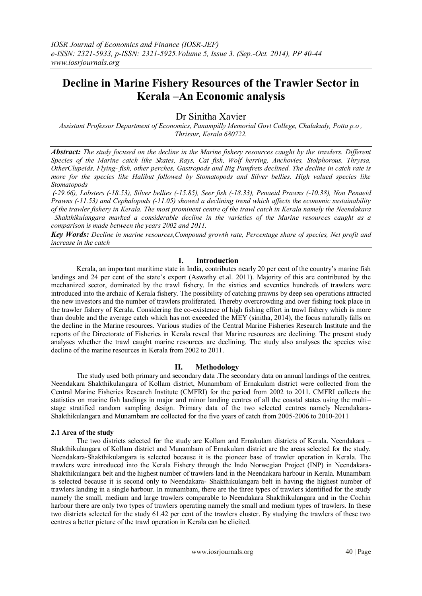# **Decline in Marine Fishery Resources of the Trawler Sector in Kerala –An Economic analysis**

Dr Sinitha Xavier

*Assistant Professor Department of Economics, Panampilly Memorial Govt College, Chalakudy, Potta p.o , Thrissur, Kerala 680722.*

*Abstract: The study focused on the decline in the Marine fishery resources caught by the trawlers. Different Species of the Marine catch like Skates, Rays, Cat fish, Wolf herring, Anchovies, Stolphorous, Thryssa, OtherClupeids, Flying- fish, other perches, Gastropods and Big Pamfrets declined. The decline in catch rate is more for the species like Halibut followed by Stomatopods and Silver bellies. High valued species like Stomatopods*

*(-29.66), Lobsters (-18.53), Silver bellies (-15.85), Seer fish (-18.33), Penaeid Prawns (-10.38), Non Penaeid Prawns (-11.53) and Cephalopods (-11.05) showed a declining trend which affects the economic sustainability of the trawler fishery in Kerala. The most prominent centre of the trawl catch in Kerala namely the Neendakara –Shakthikulangara marked a considerable decline in the varieties of the Marine resources caught as a comparison is made between the years 2002 and 2011.*

*Key Words: Decline in marine resources,Compound growth rate, Percentage share of species, Net profit and increase in the catch*

## **I. Introduction**

Kerala, an important maritime state in India, contributes nearly 20 per cent of the country's marine fish landings and 24 per cent of the state's export (Aswathy et.al. 2011). Majority of this are contributed by the mechanized sector, dominated by the trawl fishery. In the sixties and seventies hundreds of trawlers were introduced into the archaic of Kerala fishery. The possibility of catching prawns by deep sea operations attracted the new investors and the number of trawlers proliferated. Thereby overcrowding and over fishing took place in the trawler fishery of Kerala. Considering the co-existence of high fishing effort in trawl fishery which is more than double and the average catch which has not exceeded the MEY (sinitha, 2014), the focus naturally falls on the decline in the Marine resources. Various studies of the Central Marine Fisheries Research Institute and the reports of the Directorate of Fisheries in Kerala reveal that Marine resources are declining. The present study analyses whether the trawl caught marine resources are declining. The study also analyses the species wise decline of the marine resources in Kerala from 2002 to 2011.

## **II. Methodology**

The study used both primary and secondary data .The secondary data on annual landings of the centres, Neendakara Shakthikulangara of Kollam district, Munambam of Ernakulam district were collected from the Central Marine Fisheries Research Institute (CMFRI) for the period from 2002 to 2011. CMFRI collects the statistics on marine fish landings in major and minor landing centres of all the coastal states using the multi– stage stratified random sampling design. Primary data of the two selected centres namely Neendakara-Shakthikulangara and Munambam are collected for the five years of catch from 2005-2006 to 2010-2011

#### **2.1 Area of the study**

The two districts selected for the study are Kollam and Ernakulam districts of Kerala. Neendakara – Shakthikulangara of Kollam district and Munambam of Ernakulam district are the areas selected for the study. Neendakara-Shakthikulangara is selected because it is the pioneer base of trawler operation in Kerala. The trawlers were introduced into the Kerala Fishery through the Indo Norwegian Project (INP) in Neendakara-Shakthikulangara belt and the highest number of trawlers land in the Neendakara harbour in Kerala. Munambam is selected because it is second only to Neendakara- Shakthikulangara belt in having the highest number of trawlers landing in a single harbour. In munambam, there are the three types of trawlers identified for the study namely the small, medium and large trawlers comparable to Neendakara Shakthikulangara and in the Cochin harbour there are only two types of trawlers operating namely the small and medium types of trawlers. In these two districts selected for the study 61.42 per cent of the trawlers cluster. By studying the trawlers of these two centres a better picture of the trawl operation in Kerala can be elicited.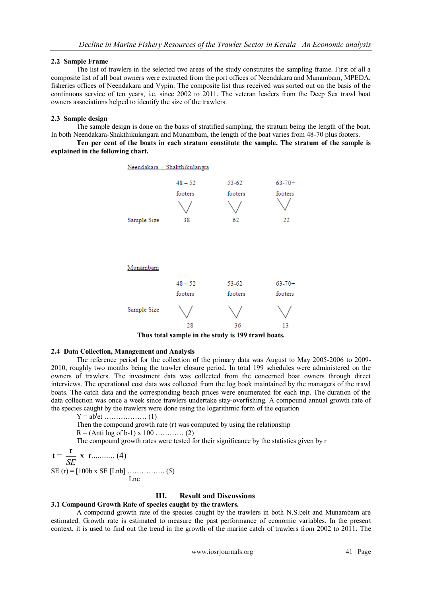## **2.2 Sample Frame**

The list of trawlers in the selected two areas of the study constitutes the sampling frame. First of all a composite list of all boat owners were extracted from the port offices of Neendakara and Munambam, MPEDA, fisheries offices of Neendakara and Vypin. The composite list thus received was sorted out on the basis of the continuous service of ten years, i.e. since 2002 to 2011. The veteran leaders from the Deep Sea trawl boat owners associations helped to identify the size of the trawlers.

### **2.3 Sample design**

The sample design is done on the basis of stratified sampling, the stratum being the length of the boat. In both Neendakara-Shakthikulangara and Munambam, the length of the boat varies from 48-70 plus footers.

**Ten per cent of the boats in each stratum constitute the sample. The stratum of the sample is explained in the following chart.**



**Thus total sample in the study is 199 trawl boats.**

#### **2.4 Data Collection, Management and Analysis**

The reference period for the collection of the primary data was August to May 2005-2006 to 2009- 2010, roughly two months being the trawler closure period. In total 199 schedules were administered on the owners of trawlers. The investment data was collected from the concerned boat owners through direct interviews. The operational cost data was collected from the log book maintained by the managers of the trawl boats. The catch data and the corresponding beach prices were enumerated for each trip. The duration of the data collection was once a week since trawlers undertake stay-overfishing. A compound annual growth rate of the species caught by the trawlers were done using the logarithmic form of the equation

Y = ab<sup>t</sup> et ……………… (1)

Then the compound growth rate (r) was computed by using the relationship

 $R = (Anti \log of b-1) \times 100$  ………… (2)

The compound growth rates were tested for their significance by the statistics given by r

$$
t = \frac{r}{SE} x r
$$
........(4)  
SE (r) = [100b x SE [Lnb] .........(5)

Lne

## **III. Result and Discussions**

#### **3.1 Compound Growth Rate of species caught by the trawlers.**

A compound growth rate of the species caught by the trawlers in both N.S.belt and Munambam are estimated. Growth rate is estimated to measure the past performance of economic variables. In the present context, it is used to find out the trend in the growth of the marine catch of trawlers from 2002 to 2011. The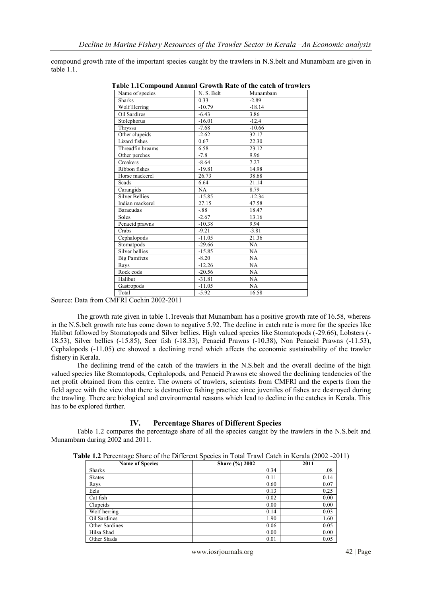compound growth rate of the important species caught by the trawlers in N.S.belt and Munambam are given in table 1.1

| Name of species                     | N. S. Belt | Munambam |
|-------------------------------------|------------|----------|
| <b>Sharks</b>                       | 0.33       | $-2.89$  |
| Wolf Herring                        | $-10.79$   | $-18.14$ |
| Oil Sardires                        | $-6.43$    | 3.86     |
| Stolephorus                         | $-16.01$   | $-12.4$  |
| Thryssa                             | $-7.68$    | $-10.66$ |
| Other clupeids                      | $-2.62$    | 32.17    |
| $\overline{\text{Lization}}$ fishes | 0.67       | 22.30    |
| Threadfin breams                    | 6.58       | 23.12    |
| Other perches                       | $-7.8$     | 9.96     |
| Croakers                            | $-8.64$    | 7.27     |
| Ribbon fishes                       | $-19.81$   | 14.98    |
| Horse mackerel                      | 26.73      | 38.68    |
| Scads                               | 6.64       | 21.14    |
| Carangids                           | NA         | 8.79     |
| <b>Silver Bellies</b>               | $-15.85$   | $-12.34$ |
| Indian mackerel                     | 27.15      | 47.58    |
| <b>Baracudas</b>                    | $-88$      | 18.47    |
| Soles                               | $-2.67$    | 13.16    |
| Penaeid prawns                      | $-10.38$   | 9.94     |
| Crabs                               | $-9.21$    | $-3.81$  |
| Cephalopods                         | $-11.05$   | 21.36    |
| Stomatpods                          | $-29.66$   | NA       |
| Silver bellies                      | $-15.85$   | NA       |
| <b>Big Pamfrets</b>                 | $-8.20$    | NA       |
| Rays                                | $-12.26$   | NA       |
| Rock cods                           | $-20.56$   | NA       |
| Halibut                             | $-31.81$   | NA       |
| Gastropods                          | $-11.05$   | NA       |
| Total                               | $-5.92$    | 16.58    |

**Table 1.1Compound Annual Growth Rate of the catch of trawlers**

#### Source: Data from CMFRI Cochin 2002-2011

The growth rate given in table 1.1reveals that Munambam has a positive growth rate of 16.58, whereas in the N.S.belt growth rate has come down to negative 5.92. The decline in catch rate is more for the species like Halibut followed by Stomatopods and Silver bellies. High valued species like Stomatopods (-29.66), Lobsters (- 18.53), Silver bellies (-15.85), Seer fish (-18.33), Penaeid Prawns (-10.38), Non Penaeid Prawns (-11.53), Cephalopods (-11.05) etc showed a declining trend which affects the economic sustainability of the trawler fishery in Kerala.

The declining trend of the catch of the trawlers in the N.S.belt and the overall decline of the high valued species like Stomatopods, Cephalopods, and Penaeid Prawns etc showed the declining tendencies of the net profit obtained from this centre. The owners of trawlers, scientists from CMFRI and the experts from the field agree with the view that there is destructive fishing practice since juveniles of fishes are destroyed during the trawling. There are biological and environmental reasons which lead to decline in the catches in Kerala. This has to be explored further.

## **IV. Percentage Shares of Different Species**

Table 1.2 compares the percentage share of all the species caught by the trawlers in the N.S.belt and Munambam during 2002 and 2011.

**Table 1.2** Percentage Share of the Different Species in Total Trawl Catch in Kerala (2002 -2011)

| ັ                      |                |      |
|------------------------|----------------|------|
| <b>Name of Species</b> | Share (%) 2002 | 2011 |
| <b>Sharks</b>          | 0.34           | .08  |
| <b>Skates</b>          | 0.11           | 0.14 |
| Rays                   | 0.60           | 0.07 |
| Eels                   | 0.13           | 0.25 |
| Cat fish               | 0.02           | 0.00 |
| Clupeids               | 0.00           | 0.00 |
| Wolf herring           | 0.14           | 0.03 |
| Oil Sardines           | 1.90           | 1.60 |
| Other Sardines         | 0.06           | 0.05 |
| Hilsa Shad             | 0.00           | 0.00 |
| Other Shads            | 0.01           | 0.05 |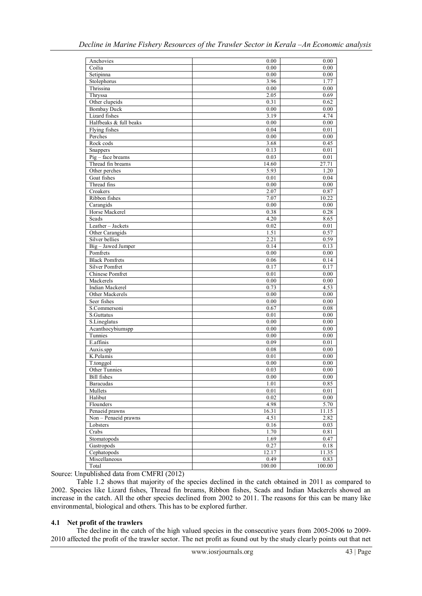| Anchovies              | 0.00   | 0.00     |
|------------------------|--------|----------|
| Coilia                 | 0.00   | 0.00     |
| Setipinna              | 0.00   | 0.00     |
| Stolephorus            | 3.96   | 1.77     |
| Thrissina              | 0.00   | 0.00     |
| Thryssa                | 2.05   | 0.69     |
| Other clupeids         | 0.31   | 0.62     |
| <b>Bombay Duck</b>     | 0.00   | 0.00     |
| Lizard fishes          | 3.19   | 4.74     |
| Halfbeaks & full beaks | 0.00   | 0.00     |
| Flying fishes          | 0.04   | 0.01     |
| Perches                | 0.00   | 0.00     |
| Rock cods              | 3.68   | 0.45     |
| Snappers               | 0.13   | 0.01     |
| $Pig$ – face breams    | 0.03   | 0.01     |
| Thread fin breams      | 14.60  | 27.71    |
| Other perches          | 5.93   | 1.20     |
| Goat fishes            | 0.01   | 0.04     |
| Thread fins            | 0.00   | 0.00     |
| Croakers               | 2.07   | 0.87     |
| Ribbon fishes          | 7.07   | 10.22    |
| Carangids              | 0.00   | 0.00     |
| Horse Mackerel         | 0.38   | 0.28     |
| Scads                  | 4.20   | 8.65     |
| Leather-Jackets        | 0.02   | 0.01     |
| Other Carangids        | 1.51   | 0.57     |
| Silver bellies         | 2.21   | 0.59     |
| Big - Jawed Jumper     | 0.14   | 0.13     |
| Pomfrets               | 0.00   | 0.00     |
| <b>Black Pomfrets</b>  | 0.06   | 0.14     |
| <b>Silver Pomfret</b>  | 0.17   | 0.17     |
| Chinese Pomfret        | 0.01   | 0.00     |
| Mackerels              | 0.00   | 0.00     |
| Indian Mackerel        | 0.73   | 4.53     |
| Other Mackerels        | 0.00   | 0.00     |
| Seer fishes            | 0.00   | 0.00     |
| S.Commersoni           | 0.67   | 0.08     |
| S.Guttatus             | 0.01   | 0.00     |
| S.Lineglatus           | 0.00   | 0.00     |
| Acanthocybiumspp       | 0.00   | 0.00     |
| Tunnies                | 0.00   | 0.00     |
| E.affinis              | 0.09   | 0.01     |
| Auxis.spp              | 0.08   | 0.00     |
| K.Pelamis              | 0.01   | 0.00     |
| T.tonggol              | 0.00   | 0.00     |
| <b>Other Tunnies</b>   | 0.03   | 0.00     |
| <b>Bill</b> fishes     | 0.00   | 0.00     |
| Baracudas              | 1.01   | 0.85     |
| Mullets                | 0.01   | $0.01\,$ |
| Halibut                | 0.02   | 0.00     |
| Flounders              | 4.98   | 5.70     |
| Penaeid prawns         | 16.31  | 11.15    |
| Non - Penaeid prawns   | 4.51   | 2.82     |
| Lobsters               | 0.16   | 0.03     |
| Crabs                  | 1.70   | 0.81     |
| Stomatopods            | 1.69   | 0.47     |
| Gastropods             | 0.27   | $0.18\,$ |
| Cephatopods            | 12.17  | 11.35    |
| Miscellaneous          | 0.49   |          |
|                        |        | 0.83     |
| Total                  | 100.00 | 100.00   |

Source: Unpublished data from CMFRI (2012)

Table 1.2 shows that majority of the species declined in the catch obtained in 2011 as compared to 2002. Species like Lizard fishes, Thread fin breams, Ribbon fishes, Scads and Indian Mackerels showed an increase in the catch. All the other species declined from 2002 to 2011. The reasons for this can be many like environmental, biological and others. This has to be explored further.

## **4.1 Net profit of the trawlers**

The decline in the catch of the high valued species in the consecutive years from 2005-2006 to 2009- 2010 affected the profit of the trawler sector. The net profit as found out by the study clearly points out that net